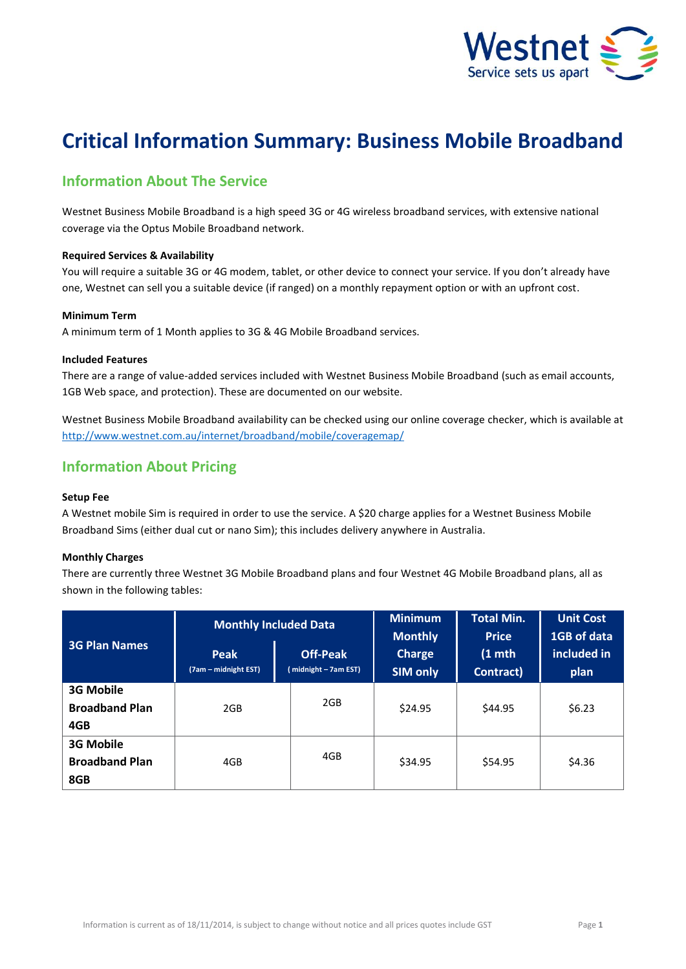

# **Critical Information Summary: Business Mobile Broadband**

# **Information About The Service**

Westnet Business Mobile Broadband is a high speed 3G or 4G wireless broadband services, with extensive national coverage via the Optus Mobile Broadband network.

# **Required Services & Availability**

You will require a suitable 3G or 4G modem, tablet, or other device to connect your service. If you don't already have one, Westnet can sell you a suitable device (if ranged) on a monthly repayment option or with an upfront cost.

# **Minimum Term**

A minimum term of 1 Month applies to 3G & 4G Mobile Broadband services.

# **Included Features**

There are a range of value-added services included with Westnet Business Mobile Broadband (such as email accounts, 1GB Web space, and protection). These are documented on our website.

Westnet Business Mobile Broadband availability can be checked using our online coverage checker, which is available at <http://www.westnet.com.au/internet/broadband/mobile/coveragemap/>

# **Information About Pricing**

# **Setup Fee**

A Westnet mobile Sim is required in order to use the service. A \$20 charge applies for a Westnet Business Mobile Broadband Sims (either dual cut or nano Sim); this includes delivery anywhere in Australia.

# **Monthly Charges**

There are currently three Westnet 3G Mobile Broadband plans and four Westnet 4G Mobile Broadband plans, all as shown in the following tables:

| <b>3G Plan Names</b>                             | <b>Monthly Included Data</b>        |                                         | <b>Minimum</b><br><b>Monthly</b> | <b>Total Min.</b><br><b>Price</b> | <b>Unit Cost</b><br>1GB of data |
|--------------------------------------------------|-------------------------------------|-----------------------------------------|----------------------------------|-----------------------------------|---------------------------------|
|                                                  | <b>Peak</b><br>(7am – midnight EST) | <b>Off-Peak</b><br>(midnight - 7am EST) | <b>Charge</b><br><b>SIM only</b> | $(1$ mth<br>Contract)             | included in<br>plan             |
| <b>3G Mobile</b><br><b>Broadband Plan</b><br>4GB | 2GB                                 | 2GB                                     | \$24.95                          | \$44.95                           | \$6.23                          |
| <b>3G Mobile</b><br><b>Broadband Plan</b><br>8GB | 4GB                                 | 4GB                                     | \$34.95                          | \$54.95                           | \$4.36                          |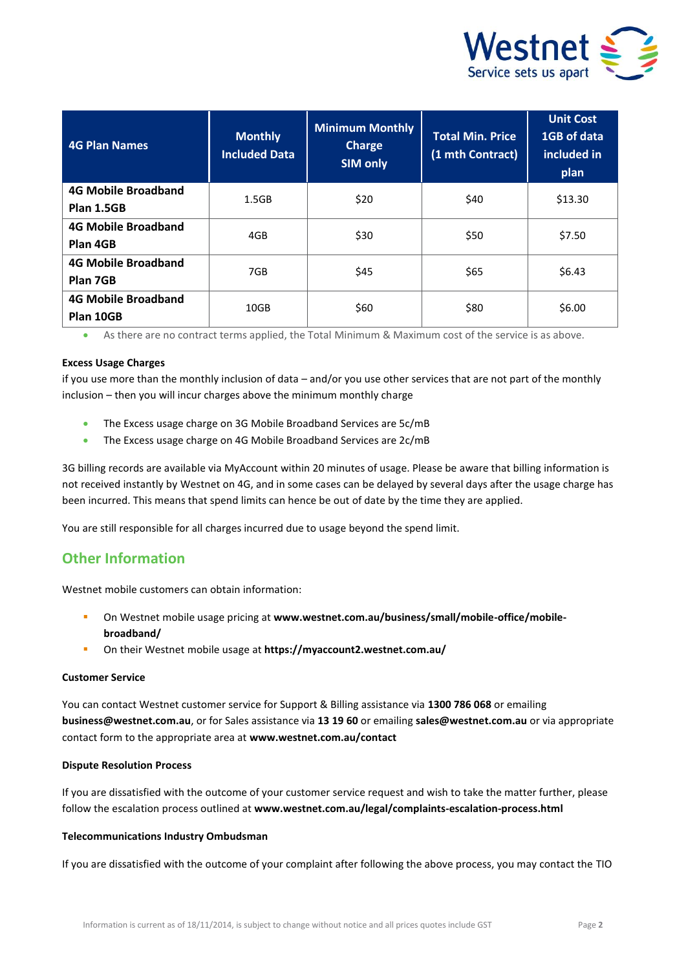

| <b>4G Plan Names</b>                     | <b>Monthly</b><br><b>Included Data</b> | <b>Minimum Monthly</b><br><b>Charge</b><br><b>SIM only</b> | <b>Total Min. Price</b><br>(1 mth Contract) | <b>Unit Cost</b><br>1GB of data<br>included in<br>plan |
|------------------------------------------|----------------------------------------|------------------------------------------------------------|---------------------------------------------|--------------------------------------------------------|
| <b>4G Mobile Broadband</b><br>Plan 1.5GB | 1.5GB                                  | \$20                                                       | \$40                                        | \$13.30                                                |
| <b>4G Mobile Broadband</b><br>Plan 4GB   | 4GB                                    | \$30                                                       | \$50                                        | \$7.50                                                 |
| <b>4G Mobile Broadband</b><br>Plan 7GB   | 7GB                                    | \$45                                                       | \$65                                        | \$6.43                                                 |
| <b>4G Mobile Broadband</b><br>Plan 10GB  | 10GB                                   | \$60                                                       | \$80                                        | \$6.00                                                 |

As there are no contract terms applied, the Total Minimum & Maximum cost of the service is as above.

## **Excess Usage Charges**

if you use more than the monthly inclusion of data – and/or you use other services that are not part of the monthly inclusion – then you will incur charges above the minimum monthly charge

- The Excess usage charge on 3G Mobile Broadband Services are 5c/mB
- The Excess usage charge on 4G Mobile Broadband Services are 2c/mB

3G billing records are available via MyAccount within 20 minutes of usage. Please be aware that billing information is not received instantly by Westnet on 4G, and in some cases can be delayed by several days after the usage charge has been incurred. This means that spend limits can hence be out of date by the time they are applied.

You are still responsible for all charges incurred due to usage beyond the spend limit.

# **Other Information**

Westnet mobile customers can obtain information:

- On Westnet mobile usage pricing at **[www.westnet.com.au/business/small/mobile-office/mobile](http://www.westnet.com.au/business/small/mobile-office/mobile-broadband/)[broadband/](http://www.westnet.com.au/business/small/mobile-office/mobile-broadband/)**
- On their Westnet mobile usage at **<https://myaccount2.westnet.com.au/>**

### **Customer Service**

You can contact Westnet customer service for Support & Billing assistance via **1300 786 068** or emailing **business@westnet.com.au**, or for Sales assistance via **13 19 60** or emailing **sales@westnet.com.au** or via appropriate contact form to the appropriate area at **www.westnet.com.au/contact**

#### **Dispute Resolution Process**

If you are dissatisfied with the outcome of your customer service request and wish to take the matter further, please follow the escalation process outlined at **www.westnet.com.au/legal/complaints-escalation-process.html** 

## **Telecommunications Industry Ombudsman**

If you are dissatisfied with the outcome of your complaint after following the above process, you may contact the TIO